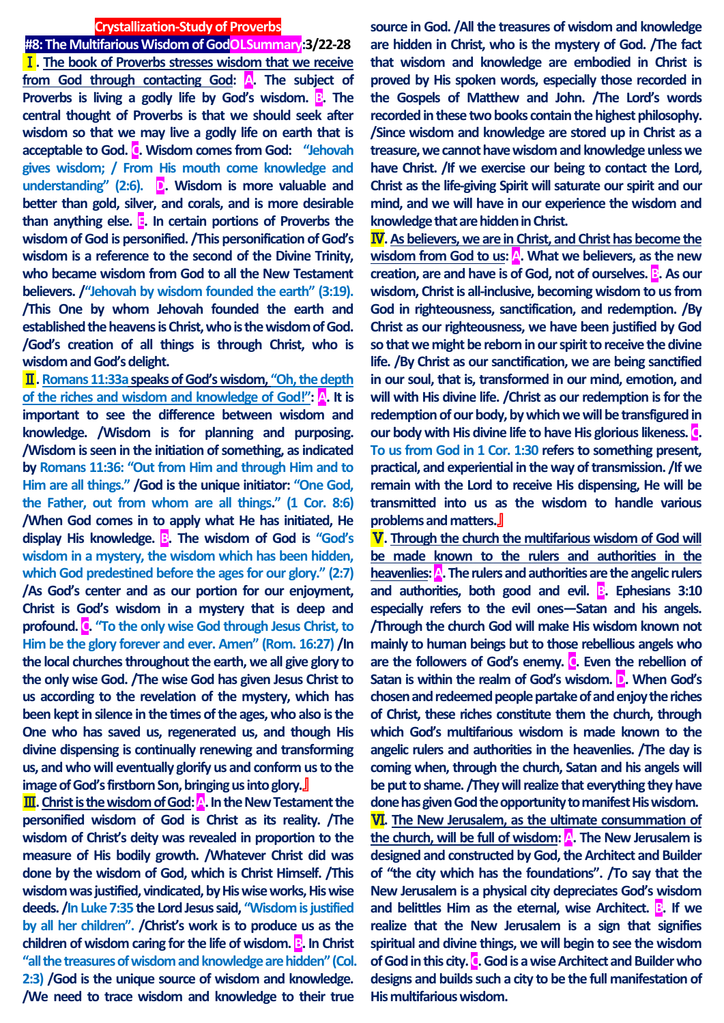#### **Crystallization-Study of Proverbs**

**#8: The Multifarious Wisdom of GodOLSummary:3/22-28** Ⅰ**. The book of Proverbs stresses wisdom that we receive from God through contacting God: A. The subject of Proverbs is living a godly life by God's wisdom. <b>B**. The **central thought of Proverbs is that we should seek after wisdom so that we may live a godly life on earth that is acceptable to God. C. Wisdom comes from God: "Jehovah gives wisdom; / From His mouth come knowledge and understanding" (2:6). D. Wisdom is more valuable and better than gold, silver, and corals, and is more desirable than anything else. E. In certain portions of Proverbs the wisdom of God is personified. /This personification of God's wisdom is a reference to the second of the Divine Trinity, who became wisdom from God to all the New Testament believers. /"Jehovah by wisdom founded the earth" (3:19). /This One by whom Jehovah founded the earth and established the heavens is Christ, who is the wisdom of God. /God's creation of all things is through Christ, who is wisdom and God's delight.**

Ⅱ**. Romans 11:33aspeaks of God's wisdom, "Oh, the depth of the riches and wisdom and knowledge of God!": A. It is important to see the difference between wisdom and knowledge. /Wisdom is for planning and purposing. /Wisdom is seen in the initiation of something, as indicated by Romans 11:36: "Out from Him and through Him and to Him are all things." /God is the unique initiator: "One God, the Father, out from whom are all things." (1 Cor. 8:6) /When God comes in to apply what He has initiated, He display His knowledge. B. The wisdom of God is "God's wisdom in a mystery, the wisdom which has been hidden, which God predestined before the ages for our glory." (2:7) /As God's center and as our portion for our enjoyment, Christ is God's wisdom in a mystery that is deep and profound. C. "To the only wise God through Jesus Christ, to Him be the glory forever and ever. Amen" (Rom. 16:27) /In the local churches throughout the earth, we all give glory to the only wise God. /The wise God has given Jesus Christ to us according to the revelation of the mystery, which has been kept in silence in the times of the ages, who also is the One who has saved us, regenerated us, and though His divine dispensing is continually renewing and transforming us, and who will eventually glorify us and conform us to the image of God's firstborn Son, bringing us into glory.**』

**III**. Christ is the wisdom of God: **A**. In the New Testament the **personified wisdom of God is Christ as its reality. /The wisdom of Christ's deity was revealed in proportion to the measure of His bodily growth. /Whatever Christ did was done by the wisdom of God, which is Christ Himself. /This wisdom was justified, vindicated, by His wise works, His wise deeds. /In Luke 7:35 the Lord Jesus said, "Wisdom is justified by all her children". /Christ's work is to produce us as the children of wisdom caring for the life of wisdom. B. In Christ "all the treasures of wisdom and knowledge are hidden" (Col. 2:3) /God is the unique source of wisdom and knowledge. /We need to trace wisdom and knowledge to their true** 

**source in God. /All the treasures of wisdom and knowledge are hidden in Christ, who is the mystery of God. /The fact that wisdom and knowledge are embodied in Christ is proved by His spoken words, especially those recorded in the Gospels of Matthew and John. /The Lord's words recorded in these two books contain the highest philosophy. /Since wisdom and knowledge are stored up in Christ as a treasure, we cannot have wisdom and knowledge unless we have Christ. /If we exercise our being to contact the Lord, Christ as the life-giving Spirit will saturate our spirit and our mind, and we will have in our experience the wisdom and knowledge that are hidden in Christ.**

Ⅳ**. As believers, we are in Christ, and Christ has become the wisdom from God to us:** A. What we believers, as the new **creation, are and have is of God, not of ourselves. B. As our wisdom, Christ is all-inclusive, becoming wisdom to us from God in righteousness, sanctification, and redemption. /By Christ as our righteousness, we have been justified by God so that we might be reborn in our spirit to receive the divine life. /By Christ as our sanctification, we are being sanctified in our soul, that is, transformed in our mind, emotion, and will with His divine life. /Christ as our redemption is for the redemption of our body, by which we will be transfigured in our body with His divine life to have His glorious likeness. C. To us from God in 1 Cor. 1:30 refers to something present, practical, and experiential in the way of transmission. /If we remain with the Lord to receive His dispensing, He will be transmitted into us as the wisdom to handle various problems and matters.**』

Ⅴ**. Through the church the multifarious wisdom of God will be made known to the rulers and authorities in the**  heavenlies: **A**. The rulers and authorities are the angelic rulers and authorities, both good and evil. **B**. Ephesians 3:10 **especially refers to the evil ones—Satan and his angels. /Through the church God will make His wisdom known not mainly to human beings but to those rebellious angels who are the followers of God's enemy. C. Even the rebellion of Satan is within the realm of God's wisdom. D. When God's chosen and redeemed people partake of and enjoy the riches of Christ, these riches constitute them the church, through which God's multifarious wisdom is made known to the angelic rulers and authorities in the heavenlies. /The day is coming when, through the church, Satan and his angels will be put to shame. /They will realize that everything they have done has given God the opportunity to manifest His wisdom.**

Ⅵ**. The New Jerusalem, as the ultimate consummation of the church, will be full of wisdom: A. The New Jerusalem is designed and constructed by God, the Architect and Builder of "the city which has the foundations". /To say that the New Jerusalem is a physical city depreciates God's wisdom and belittles Him as the eternal, wise Architect. <b>B**. If we **realize that the New Jerusalem is a sign that signifies spiritual and divine things, we will begin to see the wisdom of God in this city. C. God is a wise Architect and Builder who designs and builds such a city to be the full manifestation of His multifariouswisdom.**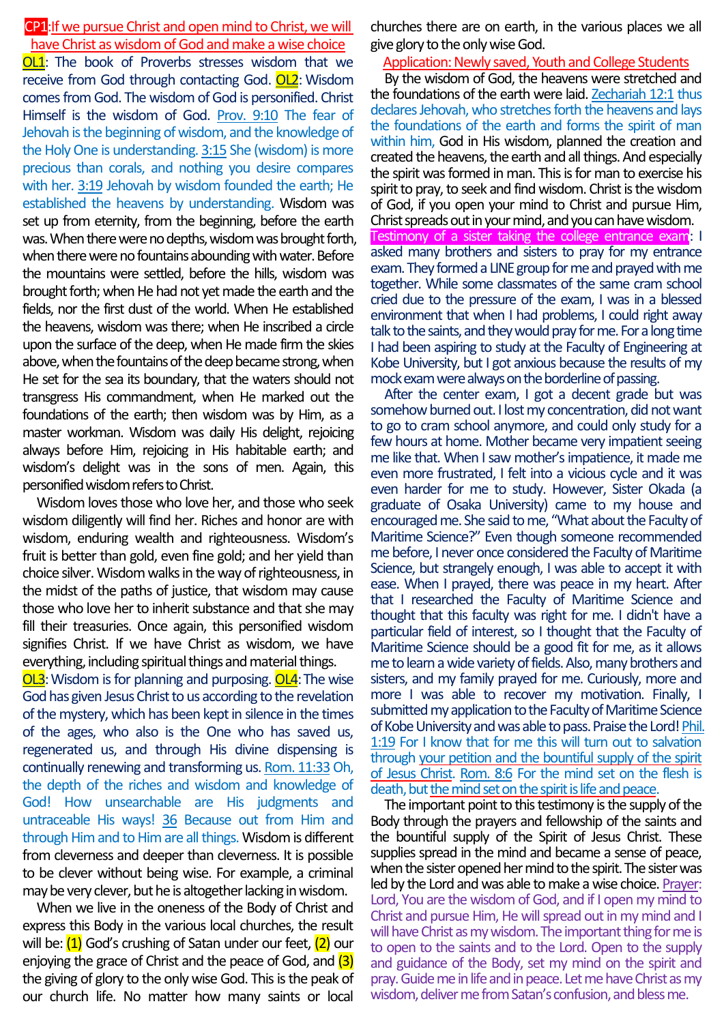### CP1:If we pursue Christ and open mind to Christ, we will have Christ as wisdom of God and make a wise choice

**OL1**: The book of Proverbs stresses wisdom that we receive from God through contacting God. OL2: Wisdom comes from God. The wisdom of God is personified. Christ Himself is the wisdom of God. Prov. 9:10 The fear of Jehovah is the beginning of wisdom, and the knowledge of the Holy One is understanding. 3:15 She (wisdom) is more precious than corals, and nothing you desire compares with her. 3:19 Jehovah by wisdom founded the earth; He established the heavens by understanding. Wisdom was set up from eternity, from the beginning, before the earth was. When there were no depths, wisdom was brought forth, when there were no fountains abounding with water. Before the mountains were settled, before the hills, wisdom was brought forth; when He had not yet made the earth and the fields, nor the first dust of the world. When He established the heavens, wisdom was there; when He inscribed a circle upon the surface of the deep, when He made firm the skies above, when the fountains of the deep became strong, when He set for the sea its boundary, that the waters should not transgress His commandment, when He marked out the foundations of the earth; then wisdom was by Him, as a master workman. Wisdom was daily His delight, rejoicing always before Him, rejoicing in His habitable earth; and wisdom's delight was in the sons of men. Again, this personified wisdom refers to Christ.

Wisdom loves those who love her, and those who seek wisdom diligently will find her. Riches and honor are with wisdom, enduring wealth and righteousness. Wisdom's fruit is better than gold, even fine gold; and her yield than choice silver. Wisdom walks in the way of righteousness, in the midst of the paths of justice, that wisdom may cause those who love her to inherit substance and that she may fill their treasuries. Once again, this personified wisdom signifies Christ. If we have Christ as wisdom, we have everything, including spiritual things and material things.

**OL3**: Wisdom is for planning and purposing. **OL4**: The wise God has given Jesus Christ to us according to the revelation of the mystery, which has been kept in silence in the times of the ages, who also is the One who has saved us, regenerated us, and through His divine dispensing is continually renewing and transforming us. Rom. 11:33Oh, the depth of the riches and wisdom and knowledge of God! How unsearchable are His judgments and untraceable His ways! 36 Because out from Him and through Him and to Him are all things. Wisdom is different from cleverness and deeper than cleverness. It is possible to be clever without being wise. For example, a criminal may be very clever, but he is altogether lacking in wisdom.

When we live in the oneness of the Body of Christ and express this Body in the various local churches, the result will be: (1) God's crushing of Satan under our feet, (2) our enjoying the grace of Christ and the peace of God, and (3) the giving of glory to the only wise God. This is the peak of our church life. No matter how many saints or local

churches there are on earth, in the various places we all give glory to the only wise God.

### Application: Newly saved, Youth and College Students

By the wisdom of God, the heavens were stretched and the foundations of the earth were laid. **Zechariah 12:1** thus declares Jehovah, who stretches forth the heavens and lays the foundations of the earth and forms the spirit of man within him, God in His wisdom, planned the creation and created the heavens, the earth and all things. And especially the spirit was formed in man. This is for man to exercise his spirit to pray, to seek and find wisdom. Christ is the wisdom of God, if you open your mind to Christ and pursue Him, Christ spreads out in your mind, and you can have wisdom. Testimony of a sister taking the college entrance exam: I asked many brothers and sisters to pray for my entrance exam. They formed a LINE group for me and prayed with me together. While some classmates of the same cram school cried due to the pressure of the exam, I was in a blessed environment that when I had problems, I could right away talk to the saints, and they would pray for me.For a long time I had been aspiring to study at the Faculty of Engineering at Kobe University, but I got anxious because the results of my mock exam were always on the borderline of passing.

After the center exam, I got a decent grade but was somehow burned out. I lost my concentration, did not want to go to cram school anymore, and could only study for a few hours at home. Mother became very impatient seeing me like that. When I saw mother's impatience, it made me even more frustrated, I felt into a vicious cycle and it was even harder for me to study. However, Sister Okada (a graduate of Osaka University) came to my house and encouraged me.She said to me, "What about the Faculty of Maritime Science?" Even though someone recommended me before, I never once considered the Faculty of Maritime Science, but strangely enough, I was able to accept it with ease. When I prayed, there was peace in my heart. After that I researched the Faculty of Maritime Science and thought that this faculty was right for me. I didn't have a particular field of interest, so I thought that the Faculty of Maritime Science should be a good fit for me, as it allows me to learn a wide variety of fields. Also, many brothers and sisters, and my family prayed for me. Curiously, more and more I was able to recover my motivation. Finally, I submitted my application to the Faculty of Maritime Science of Kobe University and was able to pass. Praise the Lord! Phil. 1:19 For I know that for me this will turn out to salvation through your petition and the bountiful supply of the spirit of Jesus Christ. Rom. 8:6 For the mind set on the flesh is death, but the mind set on the spirit is life and peace.

The important point to this testimony is the supply of the Body through the prayers and fellowship of the saints and the bountiful supply of the Spirit of Jesus Christ. These supplies spread in the mind and became a sense of peace, when the sister opened her mind to the spirit. The sister was led by the Lord and was able to make a wise choice. Prayer: Lord, You are the wisdom of God, and if I open my mind to Christ and pursue Him, He will spread out in my mind and I will have Christ as my wisdom. The important thing for me is to open to the saints and to the Lord. Open to the supply and guidance of the Body, set my mind on the spirit and pray.Guide me in life and in peace.Let me have Christ as my wisdom, deliver me from Satan's confusion, and bless me.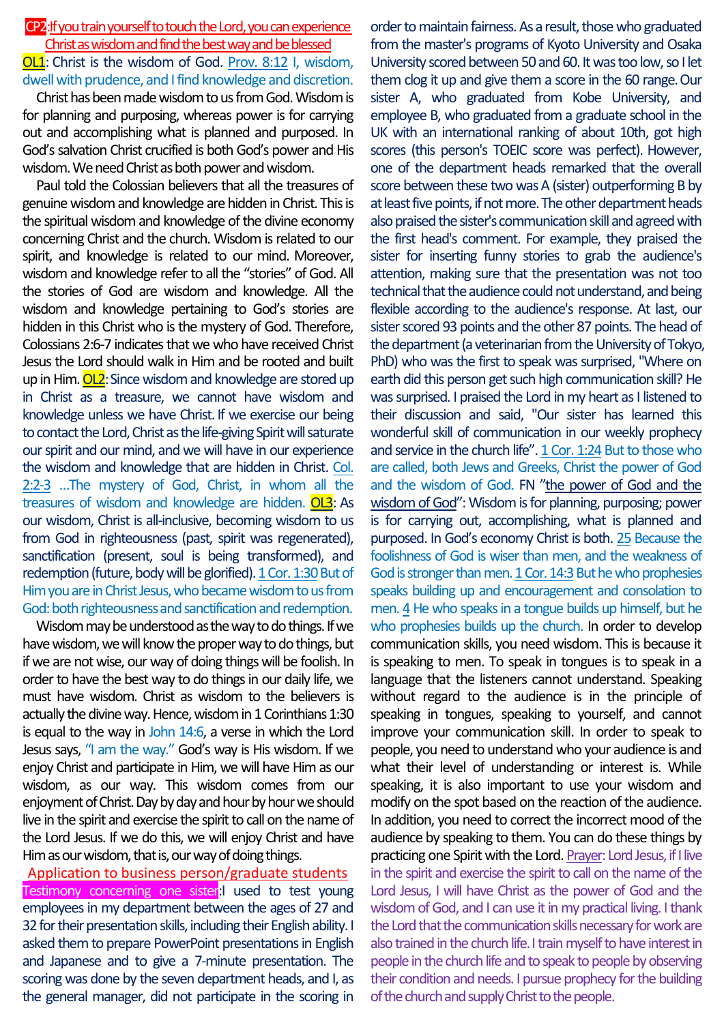## CP2:Ifyou train yourself to touch the Lord, you can experience Christ as wisdom and find the best way and be blessed OL1: Christ is the wisdom of God. Prov. 8:12 I, wisdom, dwell with prudence, and I find knowledge and discretion.

Christ has been made wisdom to us from God. Wisdom is for planning and purposing, whereas power is for carrying out and accomplishing what is planned and purposed. In God's salvation Christ crucified is both God's power and His wisdom. We need Christ as both power and wisdom.

Paul told the Colossian believers that all the treasures of genuine wisdom and knowledge are hidden in Christ. This is the spiritual wisdom and knowledge of the divine economy concerning Christ and the church. Wisdom is related to our spirit, and knowledge is related to our mind. Moreover, wisdom and knowledge refer to all the "stories" of God. All the stories of God are wisdom and knowledge. All the wisdom and knowledge pertaining to God's stories are hidden in this Christ who is the mystery of God. Therefore, Colossians 2:6-7 indicates that we who have received Christ Jesus the Lord should walk in Him and be rooted and built up in Him.  $O<sub>L2</sub>$ : Since wisdom and knowledge are stored up in Christ as a treasure, we cannot have wisdom and knowledge unless we have Christ. If we exercise our being to contact the Lord, Christ as the life-giving Spirit will saturate our spirit and our mind, and we will have in our experience the wisdom and knowledge that are hidden in Christ. Col. 2:2-3 …The mystery of God, Christ, in whom all the treasures of wisdom and knowledge are hidden. OL3: As our wisdom, Christ is all-inclusive, becoming wisdom to us from God in righteousness (past, spirit was regenerated), sanctification (present, soul is being transformed), and redemption (future, body will be glorified). 1 Cor. 1:30 But of Him you are in Christ Jesus, who became wisdom to us from God: both righteousness and sanctification and redemption.

Wisdom may be understood as the way to do things. If we have wisdom, we will know the proper way to do things, but if we are not wise, our way of doing things will be foolish. In order to have the best way to do things in our daily life, we must have wisdom. Christ as wisdom to the believers is actually the divine way. Hence, wisdom in 1 Corinthians 1:30 is equal to the way in John 14:6, a verse in which the Lord Jesus says, "I am the way." God's way is His wisdom. If we enjoy Christ and participate in Him, we will have Him as our wisdom, as our way. This wisdom comes from our enjoyment of Christ. Day by day and hour by hour we should live in the spirit and exercise the spirit to call on the name of the Lord Jesus. If we do this, we will enjoy Christ and have Him as our wisdom, that is, our way of doing things.

Application to business person/graduate students Testimony concerning one sister:I used to test young employees in my department between the ages of 27 and 32 for their presentation skills, including their English ability. I asked them to prepare PowerPoint presentations in English and Japanese and to give a 7-minute presentation. The scoring was done by the seven department heads, and I, as the general manager, did not participate in the scoring in

order to maintain fairness. As a result, those who graduated from the master's programs of Kyoto University and Osaka University scored between 50 and 60. It was too low, so I let them clog it up and give them a score in the 60 range. Our sister A, who graduated from Kobe University, and employee B, who graduated from a graduate school in the UK with an international ranking of about 10th, got high scores (this person's TOEIC score was perfect). However, one of the department heads remarked that the overall score between these two was A (sister) outperforming B by at least five points, if not more.The other department heads also praised the sister's communication skill and agreed with the first head's comment. For example, they praised the sister for inserting funny stories to grab the audience's attention, making sure that the presentation was not too technical that the audience could not understand, and being flexible according to the audience's response. At last, our sister scored 93 points and the other 87 points. The head of the department (a veterinarian from the University of Tokyo, PhD) who was the first to speak was surprised, "Where on earth did this person get such high communication skill? He was surprised. I praised the Lord in my heart as I listened to their discussion and said, "Our sister has learned this wonderful skill of communication in our weekly prophecy and service in the church life". 1 Cor. 1:24 But to those who are called, both Jews and Greeks, Christ the power of God and the wisdom of God. FN "the power of God and the wisdom of God": Wisdom is for planning, purposing; power is for carrying out, accomplishing, what is planned and purposed. In God's economy Christ is both. 25 Because the foolishness of God is wiser than men, and the weakness of God is stronger than men. 1 Cor. 14:3 But he who prophesies speaks building up and encouragement and consolation to men. 4 He who speaks in a tongue builds up himself, but he who prophesies builds up the church. In order to develop communication skills, you need wisdom. This is because it is speaking to men. To speak in tongues is to speak in a language that the listeners cannot understand. Speaking without regard to the audience is in the principle of speaking in tongues, speaking to yourself, and cannot improve your communication skill. In order to speak to people, you need to understand who your audience is and what their level of understanding or interest is. While speaking, it is also important to use your wisdom and modify on the spot based on the reaction of the audience. In addition, you need to correct the incorrect mood of the audience by speaking to them. You can do these things by practicing one Spirit with the Lord. Prayer: Lord Jesus, if I live in the spirit and exercise the spirit to call on the name of the Lord Jesus, I will have Christ as the power of God and the wisdom of God, and I can use it in my practical living. I thank the Lord that the communication skills necessary for work are also trained in the church life. I train myself to have interest in people in the church life and to speak to peopleby observing their condition and needs. I pursue prophecy for the building of the church and supply Christ to the people.